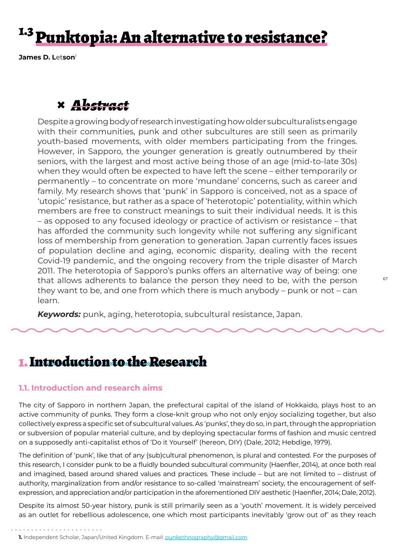# <sup>1.3</sup> Punktopia: An alternative to resistance?

**James D. L**et**son**<sup>1</sup>

# **×** *Abstract*

Despite a growing body of research investigating how older subculturalists engage with their communities, punk and other subcultures are still seen as primarily youth-based movements, with older members participating from the fringes. However, in Sapporo, the younger generation is greatly outnumbered by their seniors, with the largest and most active being those of an age (mid-to-late 30s) when they would often be expected to have left the scene – either temporarily or permanently – to concentrate on more 'mundane' concerns, such as career and family. My research shows that 'punk' in Sapporo is conceived, not as a space of 'utopic' resistance, but rather as a space of 'heterotopic' potentiality, within which members are free to construct meanings to suit their individual needs. It is this – as opposed to any focused ideology or practice of activism or resistance – that has afforded the community such longevity while not suffering any significant loss of membership from generation to generation. Japan currently faces issues of population decline and aging, economic disparity, dealing with the recent Covid-19 pandemic, and the ongoing recovery from the triple disaster of March 2011. The heterotopia of Sapporo's punks offers an alternative way of being: one that allows adherents to balance the person they need to be, with the person they want to be, and one from which there is much anybody – punk or not – can learn.

*Keywords:* punk, aging, heterotopia, subcultural resistance, Japan.

### 1. Introduction to the Research

#### **1.1. Introduction and research aims**

The city of Sapporo in northern Japan, the prefectural capital of the island of Hokkaido, plays host to an active community of punks. They form a close-knit group who not only enjoy socializing together, but also collectively express a specific set of subcultural values. As 'punks', they do so, in part, through the appropriation or subversion of popular material culture, and by deploying spectacular forms of fashion and music centred on a supposedly anti-capitalist ethos of 'Do it Yourself' (hereon, DIY) (Dale, 2012; Hebdige, 1979).

The definition of 'punk', like that of any (sub)cultural phenomenon, is plural and contested. For the purposes of this research, I consider punk to be a fluidly bounded subcultural community (Haenfler, 2014), at once both real and imagined, based around shared values and practices. These include – but are not limited to – distrust of authority, marginalization from and/or resistance to so-called 'mainstream' society, the encouragement of selfexpression, and appreciation and/or participation in the aforementioned DIY aesthetic (Haenfler, 2014; Dale, 2012).

Despite its almost 50-year history, punk is still primarily seen as a 'youth' movement. It is widely perceived as an outlet for rebellious adolescence, one which most participants inevitably 'grow out of' as they reach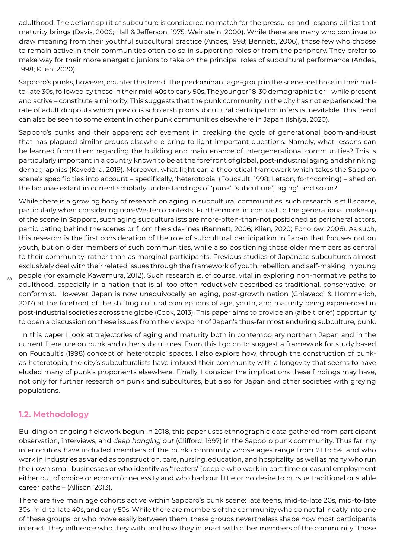adulthood. The defiant spirit of subculture is considered no match for the pressures and responsibilities that maturity brings (Davis, 2006; Hall & Jefferson, 1975; Weinstein, 2000). While there are many who continue to draw meaning from their youthful subcultural practice (Andes, 1998; Bennett, 2006), those few who choose to remain active in their communities often do so in supporting roles or from the periphery. They prefer to make way for their more energetic juniors to take on the principal roles of subcultural performance (Andes, 1998; Klien, 2020).

Sapporo's punks, however, counter this trend. The predominant age-group in the scene are those in their midto-late 30s, followed by those in their mid-40s to early 50s. The younger 18-30 demographic tier – while present and active – constitute a minority. This suggests that the punk community in the city has not experienced the rate of adult dropouts which previous scholarship on subcultural participation infers is inevitable. This trend can also be seen to some extent in other punk communities elsewhere in Japan (Ishiya, 2020).

Sapporo's punks and their apparent achievement in breaking the cycle of generational boom-and-bust that has plagued similar groups elsewhere bring to light important questions. Namely, what lessons can be learned from them regarding the building and maintenance of intergenerational communities? This is particularly important in a country known to be at the forefront of global, post-industrial aging and shrinking demographics (Kavedžija, 2019). Moreover, what light can a theoretical framework which takes the Sapporo scene's specificities into account – specifically, 'heterotopia' (Foucault, 1998; Letson, forthcoming) – shed on the lacunae extant in current scholarly understandings of 'punk', 'subculture', 'aging', and so on?

While there is a growing body of research on aging in subcultural communities, such research is still sparse, particularly when considering non-Western contexts. Furthermore, in contrast to the generational make-up of the scene in Sapporo, such aging subculturalists are more-often-than-not positioned as peripheral actors, participating behind the scenes or from the side-lines (Bennett, 2006; Klien, 2020; Fonorow, 2006). As such, this research is the first consideration of the role of subcultural participation in Japan that focuses not on youth, but on older members of such communities, while also positioning those older members as central to their community, rather than as marginal participants. Previous studies of Japanese subcultures almost exclusively deal with their related issues through the framework of youth, rebellion, and self-making in young people (for example Kawamura, 2012). Such research is, of course, vital in exploring non-normative paths to adulthood, especially in a nation that is all-too-often reductively described as traditional, conservative, or conformist. However, Japan is now unequivocally an aging, post-growth nation (Chiavacci & Hommerich, 2017) at the forefront of the shifting cultural conceptions of age, youth, and maturity being experienced in post-industrial societies across the globe (Cook, 2013). This paper aims to provide an (albeit brief) opportunity to open a discussion on these issues from the viewpoint of Japan's thus-far most enduring subculture, punk.

 In this paper I look at trajectories of aging and maturity both in contemporary northern Japan and in the current literature on punk and other subcultures. From this I go on to suggest a framework for study based on Foucault's (1998) concept of 'heterotopic' spaces. I also explore how, through the construction of punkas-heterotopia, the city's subculturalists have imbued their community with a longevity that seems to have eluded many of punk's proponents elsewhere. Finally, I consider the implications these findings may have, not only for further research on punk and subcultures, but also for Japan and other societies with greying populations.

#### **1.2. Methodology**

68

Building on ongoing fieldwork begun in 2018, this paper uses ethnographic data gathered from participant observation, interviews, and *deep hanging out* (Clifford, 1997) in the Sapporo punk community. Thus far, my interlocutors have included members of the punk community whose ages range from 21 to 54, and who work in industries as varied as construction, care, nursing, education, and hospitality, as well as many who run their own small businesses or who identify as 'freeters' (people who work in part time or casual employment either out of choice or economic necessity and who harbour little or no desire to pursue traditional or stable career paths – (Allison, 2013).

There are five main age cohorts active within Sapporo's punk scene: late teens, mid-to-late 20s, mid-to-late 30s, mid-to-late 40s, and early 50s. While there are members of the community who do not fall neatly into one of these groups, or who move easily between them, these groups nevertheless shape how most participants interact. They influence who they with, and how they interact with other members of the community. Those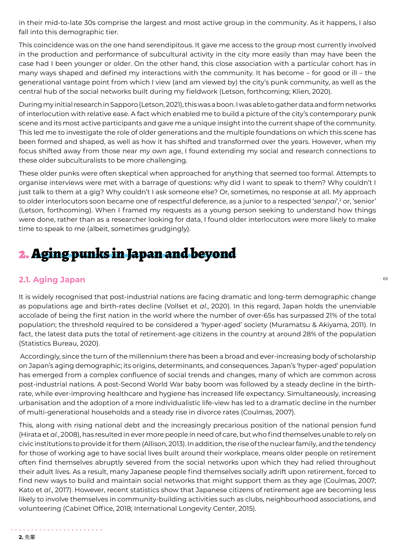in their mid-to-late 30s comprise the largest and most active group in the community. As it happens, I also fall into this demographic tier.

This coincidence was on the one hand serendipitous. It gave me access to the group most currently involved in the production and performance of subcultural activity in the city more easily than may have been the case had I been younger or older. On the other hand, this close association with a particular cohort has in many ways shaped and defined my interactions with the community. It has become – for good or ill – the generational vantage point from which I view (and am viewed by) the city's punk community, as well as the central hub of the social networks built during my fieldwork (Letson, forthcoming; Klien, 2020).

During my initial research in Sapporo (Letson, 2021), this was a boon. I was able to gather data and form networks of interlocution with relative ease. A fact which enabled me to build a picture of the city's contemporary punk scene and its most active participants and gave me a unique insight into the current shape of the community. This led me to investigate the role of older generations and the multiple foundations on which this scene has been formed and shaped, as well as how it has shifted and transformed over the years. However, when my focus shifted away from those near my own age, I found extending my social and research connections to these older subculturalists to be more challenging.

These older punks were often skeptical when approached for anything that seemed too formal. Attempts to organise interviews were met with a barrage of questions: why did I want to speak to them? Why couldn't I just talk to them at a gig? Why couldn't I ask someone else? Or, sometimes, no response at all. My approach to older interlocutors soon became one of respectful deference, as a junior to a respected '*senpai*',<sup>2</sup> or, 'senior' (Letson, forthcoming). When I framed my requests as a young person seeking to understand how things were done, rather than as a researcher looking for data, I found older interlocutors were more likely to make time to speak to me (albeit, sometimes grudgingly).

# 2. Aging punks in Japan and beyond

#### **2.1. Aging Japan**

It is widely recognised that post-industrial nations are facing dramatic and long-term demographic change as populations age and birth-rates decline (Vollset et *al*., 2020). In this regard, Japan holds the unenviable accolade of being the first nation in the world where the number of over-65s has surpassed 21% of the total population; the threshold required to be considered a 'hyper-aged' society (Muramatsu & Akiyama, 2011). In fact, the latest data puts the total of retirement-age citizens in the country at around 28% of the population (Statistics Bureau, 2020).

 Accordingly, since the turn of the millennium there has been a broad and ever-increasing body of scholarship on Japan's aging demographic; its origins, determinants, and consequences. Japan's 'hyper-aged' population has emerged from a complex confluence of social trends and changes, many of which are common across post-industrial nations. A post-Second World War baby boom was followed by a steady decline in the birthrate, while ever-improving healthcare and hygiene has increased life expectancy. Simultaneously, increasing urbanisation and the adoption of a more individualistic life-view has led to a dramatic decline in the number of multi-generational households and a steady rise in divorce rates (Coulmas, 2007).

This, along with rising national debt and the increasingly precarious position of the national pension fund (Hirata et *al.*, 2008), has resulted in ever more people in need of care, but who find themselves unable to rely on civic institutions to provide it for them (Allison, 2013). In addition, the rise of the nuclear family, and the tendency for those of working age to have social lives built around their workplace, means older people on retirement often find themselves abruptly severed from the social networks upon which they had relied throughout their adult lives. As a result, many Japanese people find themselves socially adrift upon retirement, forced to find new ways to build and maintain social networks that might support them as they age (Coulmas, 2007; Kato et *al*., 2017). However, recent statistics show that Japanese citizens of retirement age are becoming less likely to involve themselves in community-building activities such as clubs, neighbourhood associations, and volunteering (Cabinet Office, 2018; International Longevity Center, 2015).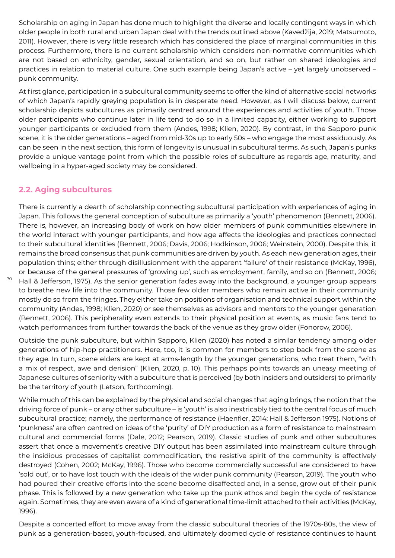Scholarship on aging in Japan has done much to highlight the diverse and locally contingent ways in which older people in both rural and urban Japan deal with the trends outlined above (Kavedžija, 2019; Matsumoto, 2011). However, there is very little research which has considered the place of marginal communities in this process. Furthermore, there is no current scholarship which considers non-normative communities which are not based on ethnicity, gender, sexual orientation, and so on, but rather on shared ideologies and practices in relation to material culture. One such example being Japan's active – yet largely unobserved – punk community.

At first glance, participation in a subcultural community seems to offer the kind of alternative social networks of which Japan's rapidly greying population is in desperate need. However, as I will discuss below, current scholarship depicts subcultures as primarily centred around the experiences and activities of youth. Those older participants who continue later in life tend to do so in a limited capacity, either working to support younger participants or excluded from them (Andes, 1998; Klien, 2020). By contrast, in the Sapporo punk scene, it is the older generations – aged from mid-30s up to early 50s – who engage the most assiduously. As can be seen in the next section, this form of longevity is unusual in subcultural terms. As such, Japan's punks provide a unique vantage point from which the possible roles of subculture as regards age, maturity, and wellbeing in a hyper-aged society may be considered.

#### **2.2. Aging subcultures**

70

There is currently a dearth of scholarship connecting subcultural participation with experiences of aging in Japan. This follows the general conception of subculture as primarily a 'youth' phenomenon (Bennett, 2006). There is, however, an increasing body of work on how older members of punk communities elsewhere in the world interact with younger participants, and how age affects the ideologies and practices connected to their subcultural identities (Bennett, 2006; Davis, 2006; Hodkinson, 2006; Weinstein, 2000). Despite this, it remains the broad consensus that punk communities are driven by youth. As each new generation ages, their population thins; either through disillusionment with the apparent 'failure' of their resistance (McKay, 1996), or because of the general pressures of 'growing up', such as employment, family, and so on (Bennett, 2006; Hall & Jefferson, 1975). As the senior generation fades away into the background, a younger group appears to breathe new life into the community. Those few older members who remain active in their community mostly do so from the fringes. They either take on positions of organisation and technical support within the community (Andes, 1998; Klien, 2020) or see themselves as advisors and mentors to the younger generation (Bennett, 2006). This peripherality even extends to their physical position at events, as music fans tend to watch performances from further towards the back of the venue as they grow older (Fonorow, 2006).

Outside the punk subculture, but within Sapporo, Klien (2020) has noted a similar tendency among older generations of hip-hop practitioners. Here, too, it is common for members to step back from the scene as they age. In turn, scene elders are kept at arms-length by the younger generations, who treat them, "with a mix of respect, awe and derision" (Klien, 2020, p. 10). This perhaps points towards an uneasy meeting of Japanese cultures of seniority with a subculture that is perceived (by both insiders and outsiders) to primarily be the territory of youth (Letson, forthcoming).

While much of this can be explained by the physical and social changes that aging brings, the notion that the driving force of punk – or any other subculture – is 'youth' is also inextricably tied to the central focus of much subcultural practice; namely, the performance of resistance (Haenfler, 2014; Hall & Jefferson 1975). Notions of 'punkness' are often centred on ideas of the 'purity' of DIY production as a form of resistance to mainstream cultural and commercial forms (Dale, 2012; Pearson, 2019). Classic studies of punk and other subcultures assert that once a movement's creative DIY output has been assimilated into mainstream culture through the insidious processes of capitalist commodification, the resistive spirit of the community is effectively destroyed (Cohen, 2002; McKay, 1996). Those who become commercially successful are considered to have 'sold out', or to have lost touch with the ideals of the wider punk community (Pearson, 2019). The youth who had poured their creative efforts into the scene become disaffected and, in a sense, grow out of their punk phase. This is followed by a new generation who take up the punk ethos and begin the cycle of resistance again. Sometimes, they are even aware of a kind of generational time-limit attached to their activities (McKay, 1996).

Despite a concerted effort to move away from the classic subcultural theories of the 1970s-80s, the view of punk as a generation-based, youth-focused, and ultimately doomed cycle of resistance continues to haunt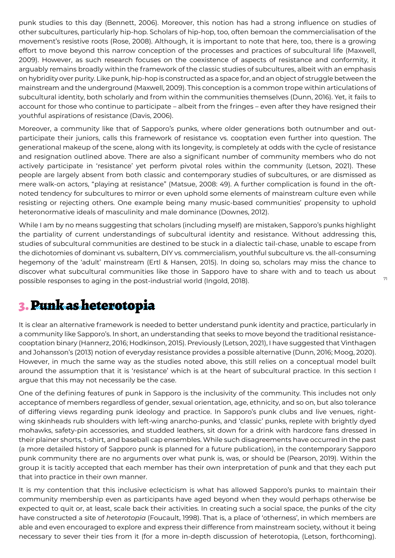punk studies to this day (Bennett, 2006). Moreover, this notion has had a strong influence on studies of other subcultures, particularly hip-hop. Scholars of hip-hop, too, often bemoan the commercialisation of the movement's resistive roots (Rose, 2008). Although, it is important to note that here, too, there is a growing effort to move beyond this narrow conception of the processes and practices of subcultural life (Maxwell, 2009). However, as such research focuses on the coexistence of aspects of resistance and conformity, it arguably remains broadly within the framework of the classic studies of subcultures, albeit with an emphasis on hybridity over purity. Like punk, hip-hop is constructed as a space for, and an object of struggle between the mainstream and the underground (Maxwell, 2009). This conception is a common trope within articulations of subcultural identity, both scholarly and from within the communities themselves (Dunn, 2016). Yet, it fails to account for those who continue to participate – albeit from the fringes – even after they have resigned their youthful aspirations of resistance (Davis, 2006).

Moreover, a community like that of Sapporo's punks, where older generations both outnumber and outparticipate their juniors, calls this framework of resistance vs. cooptation even further into question. The generational makeup of the scene, along with its longevity, is completely at odds with the cycle of resistance and resignation outlined above. There are also a significant number of community members who do not actively participate in 'resistance' yet perform pivotal roles within the community (Letson, 2021). These people are largely absent from both classic and contemporary studies of subcultures, or are dismissed as mere walk-on actors, "playing at resistance" (Matsue, 2008: 49). A further complication is found in the oftnoted tendency for subcultures to mirror or even uphold some elements of mainstream culture even while resisting or rejecting others. One example being many music-based communities' propensity to uphold heteronormative ideals of masculinity and male dominance (Downes, 2012).

While I am by no means suggesting that scholars (including myself) are mistaken, Sapporo's punks highlight the partiality of current understandings of subcultural identity and resistance. Without addressing this, studies of subcultural communities are destined to be stuck in a dialectic tail-chase, unable to escape from the dichotomies of dominant vs. subaltern, DIY vs. commercialism, youthful subculture vs. the all-consuming hegemony of the 'adult' mainstream (Ertl & Hansen, 2015). In doing so, scholars may miss the chance to discover what subcultural communities like those in Sapporo have to share with and to teach us about possible responses to aging in the post-industrial world (Ingold, 2018).

## 3. Punk as heterotopia

It is clear an alternative framework is needed to better understand punk identity and practice, particularly in a community like Sapporo's. In short, an understanding that seeks to move beyond the traditional resistancecooptation binary (Hannerz, 2016; Hodkinson, 2015). Previously (Letson, 2021), I have suggested that Vinthagen and Johansson's (2013) notion of everyday resistance provides a possible alternative (Dunn, 2016; Moog, 2020). However, in much the same way as the studies noted above, this still relies on a conceptual model built around the assumption that it is 'resistance' which is at the heart of subcultural practice. In this section I argue that this may not necessarily be the case.

One of the defining features of punk in Sapporo is the inclusivity of the community. This includes not only acceptance of members regardless of gender, sexual orientation, age, ethnicity, and so on, but also tolerance of differing views regarding punk ideology and practice. In Sapporo's punk clubs and live venues, rightwing skinheads rub shoulders with left-wing anarcho-punks, and 'classic' punks, replete with brightly dyed mohawks, safety-pin accessories, and studded leathers, sit down for a drink with hardcore fans dressed in their plainer shorts, t-shirt, and baseball cap ensembles. While such disagreements have occurred in the past (a more detailed history of Sapporo punk is planned for a future publication), in the contemporary Sapporo punk community there are no arguments over what punk is, was, or should be (Pearson, 2019). Within the group it is tacitly accepted that each member has their own interpretation of punk and that they each put that into practice in their own manner.

It is my contention that this inclusive eclecticism is what has allowed Sapporo's punks to maintain their community membership even as participants have aged beyond when they would perhaps otherwise be expected to quit or, at least, scale back their activities. In creating such a social space, the punks of the city have constructed a site of *h*et*erotopia* (Foucault, 1998). That is, a place of 'otherness', in which members are able and even encouraged to explore and express their difference from mainstream society, without it being necessary to sever their ties from it (for a more in-depth discussion of heterotopia, (Letson, forthcoming).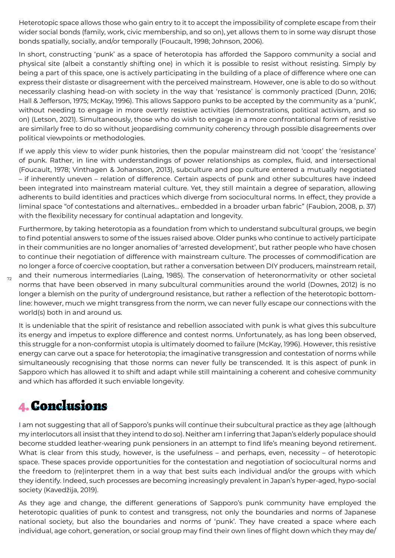Heterotopic space allows those who gain entry to it to accept the impossibility of complete escape from their wider social bonds (family, work, civic membership, and so on), yet allows them to in some way disrupt those bonds spatially, socially, and/or temporally (Foucault, 1998; Johnson, 2006).

In short, constructing 'punk' as a space of heterotopia has afforded the Sapporo community a social and physical site (albeit a constantly shifting one) in which it is possible to resist without resisting. Simply by being a part of this space, one is actively participating in the building of a place of difference where one can express their distaste or disagreement with the perceived mainstream. However, one is able to do so without necessarily clashing head-on with society in the way that 'resistance' is commonly practiced (Dunn, 2016; Hall & Jefferson, 1975; McKay, 1996). This allows Sapporo punks to be accepted by the community as a 'punk', without needing to engage in more overtly resistive activities (demonstrations, political activism, and so on) (Letson, 2021). Simultaneously, those who do wish to engage in a more confrontational form of resistive are similarly free to do so without jeopardising community coherency through possible disagreements over political viewpoints or methodologies.

If we apply this view to wider punk histories, then the popular mainstream did not 'coopt' the 'resistance' of punk. Rather, in line with understandings of power relationships as complex, fluid, and intersectional (Foucault, 1978; Vinthagen & Johansson, 2013), subculture and pop culture entered a mutually negotiated – if inherently uneven – relation of difference. Certain aspects of punk and other subcultures have indeed been integrated into mainstream material culture. Yet, they still maintain a degree of separation, allowing adherents to build identities and practices which diverge from sociocultural norms. In effect, they provide a liminal space "of contestations and alternatives… embedded in a broader urban fabric" (Faubion, 2008, p. 37) with the flexibility necessary for continual adaptation and longevity.

Furthermore, by taking heterotopia as a foundation from which to understand subcultural groups, we begin to find potential answers to some of the issues raised above. Older punks who continue to actively participate in their communities are no longer anomalies of 'arrested development', but rather people who have chosen to continue their negotiation of difference with mainstream culture. The processes of commodification are no longer a force of coercive cooptation, but rather a conversation between DIY producers, mainstream retail, and their numerous intermediaries (Laing, 1985). The conservation of heteronormativity or other societal norms that have been observed in many subcultural communities around the world (Downes, 2012) is no longer a blemish on the purity of underground resistance, but rather a reflection of the heterotopic bottomline: however, much we might transgress from the norm, we can never fully escape our connections with the world(s) both in and around us.

It is undeniable that the spirit of resistance and rebellion associated with punk is what gives this subculture its energy and impetus to explore difference and contest norms. Unfortunately, as has long been observed, this struggle for a non-conformist utopia is ultimately doomed to failure (McKay, 1996). However, this resistive energy can carve out a space for heterotopia; the imaginative transgression and contestation of norms while simultaneously recognising that those norms can never fully be transcended. It is this aspect of punk in Sapporo which has allowed it to shift and adapt while still maintaining a coherent and cohesive community and which has afforded it such enviable longevity.

## 4. Conclusions

72

I am not suggesting that all of Sapporo's punks will continue their subcultural practice as they age (although my interlocutors all insist that they intend to do so). Neither am I inferring that Japan's elderly populace should become studded leather-wearing punk pensioners in an attempt to find life's meaning beyond retirement. What is clear from this study, however, is the usefulness – and perhaps, even, necessity – of heterotopic space. These spaces provide opportunities for the contestation and negotiation of sociocultural norms and the freedom to (re)interpret them in a way that best suits each individual and/or the groups with which they identify. Indeed, such processes are becoming increasingly prevalent in Japan's hyper-aged, hypo-social society (Kavedžija, 2019).

As they age and change, the different generations of Sapporo's punk community have employed the heterotopic qualities of punk to contest and transgress, not only the boundaries and norms of Japanese national society, but also the boundaries and norms of 'punk'. They have created a space where each individual, age cohort, generation, or social group may find their own lines of flight down which they may de/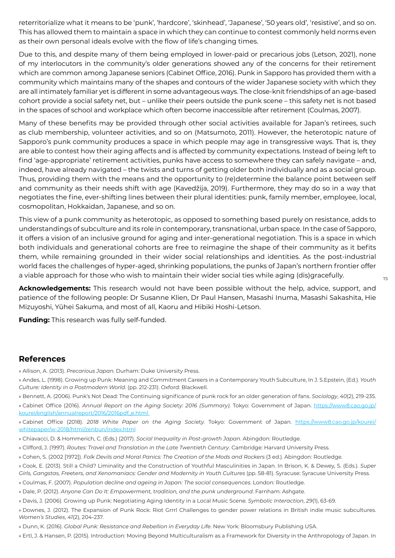reterritorialize what it means to be 'punk', 'hardcore', 'skinhead', 'Japanese', '50 years old', 'resistive', and so on. This has allowed them to maintain a space in which they can continue to contest commonly held norms even as their own personal ideals evolve with the flow of life's changing times.

Due to this, and despite many of them being employed in lower-paid or precarious jobs (Letson, 2021), none of my interlocutors in the community's older generations showed any of the concerns for their retirement which are common among Japanese seniors (Cabinet Office, 2016). Punk in Sapporo has provided them with a community which maintains many of the shapes and contours of the wider Japanese society with which they are all intimately familiar yet is different in some advantageous ways. The close-knit friendships of an age-based cohort provide a social safety net, but – unlike their peers outside the punk scene – this safety net is not based in the spaces of school and workplace which often become inaccessible after retirement (Coulmas, 2007).

Many of these benefits may be provided through other social activities available for Japan's retirees, such as club membership, volunteer activities, and so on (Matsumoto, 2011). However, the heterotopic nature of Sapporo's punk community produces a space in which people may age in transgressive ways. That is, they are able to contest how their aging affects and is affected by community expectations. Instead of being left to find 'age-appropriate' retirement activities, punks have access to somewhere they can safely navigate – and, indeed, have already navigated – the twists and turns of getting older both individually and as a social group. Thus, providing them with the means and the opportunity to (re)determine the balance point between self and community as their needs shift with age (Kavedžija, 2019). Furthermore, they may do so in a way that negotiates the fine, ever-shifting lines between their plural identities: punk, family member, employee, local, cosmopolitan, Hokkaidan, Japanese, and so on.

This view of a punk community as heterotopic, as opposed to something based purely on resistance, adds to understandings of subculture and its role in contemporary, transnational, urban space. In the case of Sapporo, it offers a vision of an inclusive ground for aging and inter-generational negotiation. This is a space in which both individuals and generational cohorts are free to reimagine the shape of their community as it befits them, while remaining grounded in their wider social relationships and identities. As the post-industrial world faces the challenges of hyper-aged, shrinking populations, the punks of Japan's northern frontier offer a viable approach for those who wish to maintain their wider social ties while aging (dis)gracefully.

**Acknowledgements:** This research would not have been possible without the help, advice, support, and patience of the following people: Dr Susanne Klien, Dr Paul Hansen, Masashi Inuma, Masashi Sakashita, Hie Mizuyoshi, Yūhei Sakuma, and most of all, Kaoru and Hibiki Hoshi-Letson.

**Funding:** This research was fully self-funded.

#### **References**

» Allison, A. (2013). *Precarious Japan.* Durham: Duke University Press.

- » Andes, L. (1998). Growing up Punk: Meaning and Commitment Careers in a Contemporary Youth Subculture, In J. S.Epstein, (Ed.). *Youth Culture: Identity in a Postmodern World*. (pp. 212-231). Oxford: Blackwell.
- » Bennett, A. (2006). Punk's Not Dead: The Continuing significance of punk rock for an older generation of fans. *Sociology*, *40*(2), 219-235. » Cabinet Office (2016). *Annual Report on the Aging Soci*et*y: 2016 (Summary).* Tokyo: Government of Japan. https://www8.cao.go.jp/ kourei/english/annualreport/2016/2016pdf\_e.html
- » Cabinet Office (2018). *2018 White Paper on the Aging Soci*et*y.* Tokyo: Government of Japan. https://www8.cao.go.jp/kourei/ whitepaper/w-2018/html/zenbun/index.html
- » Chiavacci, D. & Hommerich, C. (Eds.) (2017). *Social Inequality in Post-growth Japan*. Abingdon: Routledge.
- » Clifford, J. (1997). *Routes: Travel and Translation in the Late Twenti*et*h Century*. Cambridge: Harvard University Press.
- » Cohen, S. (2002 [1972]). *Folk Devils and Moral Panics: The Creation of the Mods and Rockers* (3 ed.). Abingdon: Routledge.
- » Cook, E. (2013). Still a Child? Liminality and the Construction of Youthful Masculinities in Japan. In Brison, K. & Dewey, S. (Eds.). *Super*  Girls, Gangstas, Freeters, and Xenomaniacs: Gender and Modernity in Youth Cultures (pp. 58-81). Syracuse: Syracuse University Press.
- » Coulmas, F. (2007). *Population decline and ageing in Japan: The social consequences*. London: Routledge.
- » Dale, P. (2012). *Anyone Can Do It: Empowerment, tradition, and the punk underground*. Farnham: Ashgate.
- » Davis, J. (2006). Growing up Punk: Negotiating Aging Identity in a Local Music Scene. *Symbolic Interaction*, *29*(1), 63-69.
- » Downes, J. (2012). The Expansion of Punk Rock: Riot Grrrl Challenges to gender power relations in British indie music subcultures. *Women's Studies*, *41*(2), 204-237.
- » Dunn, K. (2016). *Global Punk: Resistance and Rebellion in Everyday Life*. New York: Bloomsbury Publishing USA.
- » Ertl, J. & Hansen, P. (2015). Introduction: Moving Beyond Multiculturalism as a Framework for Diversity in the Anthropology of Japan. In